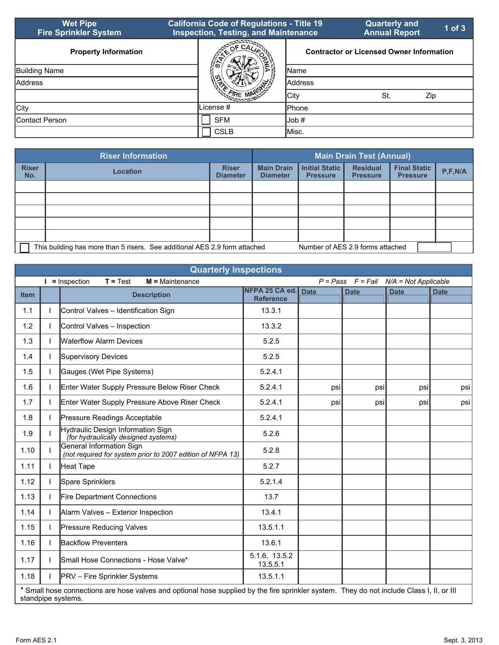| <b>Wet Pipe</b><br><b>Fire Sprinkler System</b> | <b>California Code of Regulations - Title 19</b><br><b>Inspection, Testing, and Maintenance</b> |                                                 | <b>Quarterly and</b><br><b>Annual Report</b> | $1$ of $3$ |
|-------------------------------------------------|-------------------------------------------------------------------------------------------------|-------------------------------------------------|----------------------------------------------|------------|
| <b>Property Information</b>                     | CA <sub>L</sub>                                                                                 | <b>Contractor or Licensed Owner Information</b> |                                              |            |
| <b>Building Name</b>                            |                                                                                                 | <b>Name</b>                                     |                                              |            |
| Address                                         |                                                                                                 | <b>Address</b>                                  |                                              |            |
|                                                 |                                                                                                 | lCitv                                           | St.<br>Zip                                   |            |
| City                                            | License #                                                                                       | <b>I</b> Phone                                  |                                              |            |
| Contact Person                                  | <b>SFM</b>                                                                                      | lJob #                                          |                                              |            |
|                                                 | <b>CSLB</b>                                                                                     | <b>I</b> Misc.                                  |                                              |            |

|                     | <b>Riser Information</b>                                                   |                                 |                                      | <b>Main Drain Test (Annual)</b>          |                                    |                                        |           |
|---------------------|----------------------------------------------------------------------------|---------------------------------|--------------------------------------|------------------------------------------|------------------------------------|----------------------------------------|-----------|
| <b>Riser</b><br>No. | <b>Location</b>                                                            | <b>Riser</b><br><b>Diameter</b> | <b>Main Drain</b><br><b>Diameter</b> | <b>Initial Static</b><br><b>Pressure</b> | <b>Residual</b><br><b>Pressure</b> | <b>Final Static</b><br><b>Pressure</b> | P, F, N/A |
|                     |                                                                            |                                 |                                      |                                          |                                    |                                        |           |
|                     |                                                                            |                                 |                                      |                                          |                                    |                                        |           |
|                     |                                                                            |                                 |                                      |                                          |                                    |                                        |           |
|                     |                                                                            |                                 |                                      |                                          |                                    |                                        |           |
|                     |                                                                            |                                 |                                      |                                          |                                    |                                        |           |
|                     | This building has more than 5 risers. See additional AES 2.9 form attached |                                 |                                      | Number of AES 2.9 forms attached         |                                    |                                        |           |

|             | <b>Quarterly Inspections</b>                                                                        |                                                                                                                                                                 |                                    |             |             |             |             |  |  |  |
|-------------|-----------------------------------------------------------------------------------------------------|-----------------------------------------------------------------------------------------------------------------------------------------------------------------|------------------------------------|-------------|-------------|-------------|-------------|--|--|--|
|             | $T = Test$<br>$I =$ Inspection<br>$M =$ Maintenance<br>$P = Pass$ $F = Fail$ $N/A = Not Applicable$ |                                                                                                                                                                 |                                    |             |             |             |             |  |  |  |
| <b>Item</b> |                                                                                                     | <b>Description</b>                                                                                                                                              | NFPA 25 CA ed.<br><b>Reference</b> | <b>Date</b> | <b>Date</b> | <b>Date</b> | <b>Date</b> |  |  |  |
| 1.1         |                                                                                                     | Control Valves - Identification Sign                                                                                                                            | 13.3.1                             |             |             |             |             |  |  |  |
| 1.2         | L                                                                                                   | Control Valves - Inspection                                                                                                                                     | 13.3.2                             |             |             |             |             |  |  |  |
| 1.3         |                                                                                                     | <b>Waterflow Alarm Devices</b>                                                                                                                                  | 5.2.5                              |             |             |             |             |  |  |  |
| 1.4         |                                                                                                     | Supervisory Devices                                                                                                                                             | 5.2.5                              |             |             |             |             |  |  |  |
| 1.5         | L                                                                                                   | Gauges (Wet Pipe Systems)                                                                                                                                       | 5.2.4.1                            |             |             |             |             |  |  |  |
| 1.6         | L                                                                                                   | Enter Water Supply Pressure Below Riser Check                                                                                                                   | 5.2.4.1                            | psi         | psi         | psi         | psi         |  |  |  |
| 1.7         |                                                                                                     | Enter Water Supply Pressure Above Riser Check                                                                                                                   | 5.2.4.1                            | psi         | psi         | psi         | psi         |  |  |  |
| 1.8         |                                                                                                     | Pressure Readings Acceptable                                                                                                                                    | 5.2.4.1                            |             |             |             |             |  |  |  |
| 1.9         |                                                                                                     | Hydraulic Design Information Sign<br>(for hydraulically designed systems)                                                                                       | 5.2.6                              |             |             |             |             |  |  |  |
| 1.10        |                                                                                                     | <b>General Information Sign</b><br>(not required for system prior to 2007 edition of NFPA 13)                                                                   | 5.2.8                              |             |             |             |             |  |  |  |
| 1.11        | L                                                                                                   | Heat Tape                                                                                                                                                       | 5.2.7                              |             |             |             |             |  |  |  |
| 1.12        | L                                                                                                   | Spare Sprinklers                                                                                                                                                | 5.2.1.4                            |             |             |             |             |  |  |  |
| 1.13        |                                                                                                     | Fire Department Connections                                                                                                                                     | 13.7                               |             |             |             |             |  |  |  |
| 1.14        | L                                                                                                   | Alarm Valves - Exterior Inspection                                                                                                                              | 13.4.1                             |             |             |             |             |  |  |  |
| 1.15        | L                                                                                                   | Pressure Reducing Valves                                                                                                                                        | 13.5.1.1                           |             |             |             |             |  |  |  |
| 1.16        |                                                                                                     | <b>Backflow Preventers</b>                                                                                                                                      | 13.6.1                             |             |             |             |             |  |  |  |
| 1.17        | L                                                                                                   | 5.1.6, 13.5.2<br>Small Hose Connections - Hose Valve*<br>13.5.5.1                                                                                               |                                    |             |             |             |             |  |  |  |
| 1.18        | L                                                                                                   | <b>PRV</b> – Fire Sprinkler Systems                                                                                                                             | 13.5.1.1                           |             |             |             |             |  |  |  |
|             |                                                                                                     | * Small hose connections are hose valves and optional hose supplied by the fire sprinkler system. They do not include Class I, II, or III<br>standpipe systems. |                                    |             |             |             |             |  |  |  |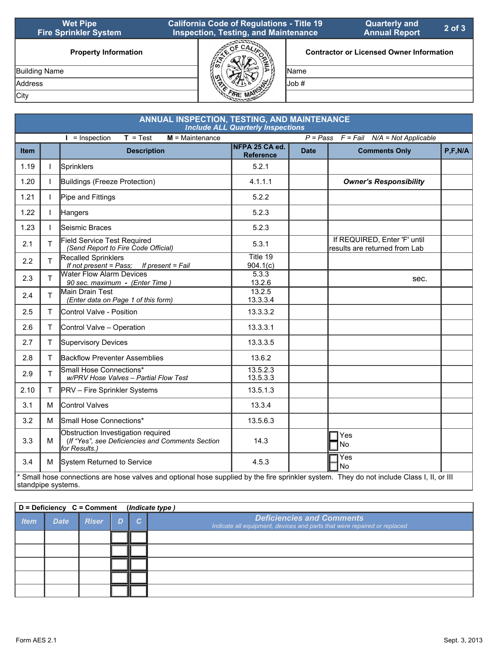| <b>Wet Pipe</b><br><b>Fire Sprinkler System</b> | <b>California Code of Regulations - Title 19</b><br><b>Inspection, Testing, and Maintenance</b> |               | <b>Quarterly and</b><br><b>Annual Report</b>    | $2$ of $3$ |
|-------------------------------------------------|-------------------------------------------------------------------------------------------------|---------------|-------------------------------------------------|------------|
| <b>Property Information</b>                     |                                                                                                 |               | <b>Contractor or Licensed Owner Information</b> |            |
| <b>Building Name</b>                            |                                                                                                 | <b>I</b> Name |                                                 |            |
| Address                                         |                                                                                                 | lJob #        |                                                 |            |
| City                                            |                                                                                                 |               |                                                 |            |

|             | <b>ANNUAL INSPECTION, TESTING, AND MAINTENANCE</b><br><b>Include ALL Quarterly Inspections</b> |                                                                                                                                           |                                    |             |                                                               |           |  |  |  |  |  |
|-------------|------------------------------------------------------------------------------------------------|-------------------------------------------------------------------------------------------------------------------------------------------|------------------------------------|-------------|---------------------------------------------------------------|-----------|--|--|--|--|--|
|             |                                                                                                | $T = Test$<br>$I =$ Inspection<br>$M =$ Maintenance                                                                                       |                                    |             | $P = Pass$ $F = Fail$ $N/A = Not Applicable$                  |           |  |  |  |  |  |
| <b>Item</b> |                                                                                                | <b>Description</b>                                                                                                                        | NFPA 25 CA ed.<br><b>Reference</b> | <b>Date</b> | <b>Comments Only</b>                                          | P, F, N/A |  |  |  |  |  |
| 1.19        |                                                                                                | Sprinklers                                                                                                                                | 5.2.1                              |             |                                                               |           |  |  |  |  |  |
| 1.20        |                                                                                                | Buildings (Freeze Protection)                                                                                                             | 4.1.1.1                            |             | <b>Owner's Responsibility</b>                                 |           |  |  |  |  |  |
| 1.21        | $\mathbf{L}$                                                                                   | Pipe and Fittings                                                                                                                         | 5.2.2                              |             |                                                               |           |  |  |  |  |  |
| 1.22        |                                                                                                | Hangers                                                                                                                                   | 5.2.3                              |             |                                                               |           |  |  |  |  |  |
| 1.23        |                                                                                                | Seismic Braces                                                                                                                            | 5.2.3                              |             |                                                               |           |  |  |  |  |  |
| 2.1         | $\mathsf{T}$                                                                                   | Field Service Test Required<br>(Send Report to Fire Code Official)                                                                        | 5.3.1                              |             | If REQUIRED, Enter 'F' until<br>results are returned from Lab |           |  |  |  |  |  |
| 2.2         | T.                                                                                             | <b>Recalled Sprinklers</b><br>If not present = Pass;<br>If present = Fail                                                                 | Title $19$<br>904.1(c)             |             |                                                               |           |  |  |  |  |  |
| 2.3         | $\mathsf{T}$                                                                                   | <b>Water Flow Alarm Devices</b><br>90 sec. maximum - (Enter Time)                                                                         | 5.3.3<br>13.2.6                    |             | sec.                                                          |           |  |  |  |  |  |
| 2.4         | T.                                                                                             | Main Drain Test<br>(Enter data on Page 1 of this form)                                                                                    | 13.2.5<br>13.3.3.4                 |             |                                                               |           |  |  |  |  |  |
| 2.5         | T.                                                                                             | Control Valve - Position                                                                                                                  | 13.3.3.2                           |             |                                                               |           |  |  |  |  |  |
| 2.6         | T.                                                                                             | Control Valve - Operation                                                                                                                 | 13.3.3.1                           |             |                                                               |           |  |  |  |  |  |
| 2.7         | T.                                                                                             | Supervisory Devices                                                                                                                       | 13.3.3.5                           |             |                                                               |           |  |  |  |  |  |
| 2.8         | Τ                                                                                              | <b>Backflow Preventer Assemblies</b>                                                                                                      | 13.6.2                             |             |                                                               |           |  |  |  |  |  |
| 2.9         | T.                                                                                             | Small Hose Connections*<br>w/PRV Hose Valves - Partial Flow Test                                                                          | 13.5.2.3<br>13.5.3.3               |             |                                                               |           |  |  |  |  |  |
| 2.10        | T.                                                                                             | <b>PRV</b> – Fire Sprinkler Systems                                                                                                       | 13.5.1.3                           |             |                                                               |           |  |  |  |  |  |
| 3.1         | м                                                                                              | Control Valves                                                                                                                            | 13.3.4                             |             |                                                               |           |  |  |  |  |  |
| 3.2         | м                                                                                              | Small Hose Connections*                                                                                                                   | 13.5.6.3                           |             |                                                               |           |  |  |  |  |  |
| 3.3         | м                                                                                              | Obstruction Investigation required<br>(If "Yes", see Deficiencies and Comments Section<br>for Results.)                                   | 14.3                               |             | Yes<br>No                                                     |           |  |  |  |  |  |
| 3.4         | М                                                                                              | System Returned to Service                                                                                                                | 4.5.3                              |             | <b>Yes</b><br>No                                              |           |  |  |  |  |  |
|             |                                                                                                | * Small hose connections are hose valves and optional hose supplied by the fire sprinkler system. They do not include Class I, II, or III |                                    |             |                                                               |           |  |  |  |  |  |

|  | standpipe systems. |
|--|--------------------|
|  |                    |
|  |                    |

|                                             | D = Deficiency C = Comment |           |                |                                                                                                              | (Indicate type) |
|---------------------------------------------|----------------------------|-----------|----------------|--------------------------------------------------------------------------------------------------------------|-----------------|
| <b>Riser</b><br><b>Date</b><br><b>I</b> tem |                            | <u>וח</u> | $\overline{C}$ | <b>Deficiencies and Comments</b><br>Indicate all equipment, devices and parts that were repaired or replaced |                 |
|                                             |                            |           |                |                                                                                                              |                 |
|                                             |                            |           |                |                                                                                                              |                 |
|                                             |                            |           |                |                                                                                                              |                 |
|                                             |                            |           |                |                                                                                                              |                 |
|                                             |                            |           |                |                                                                                                              |                 |